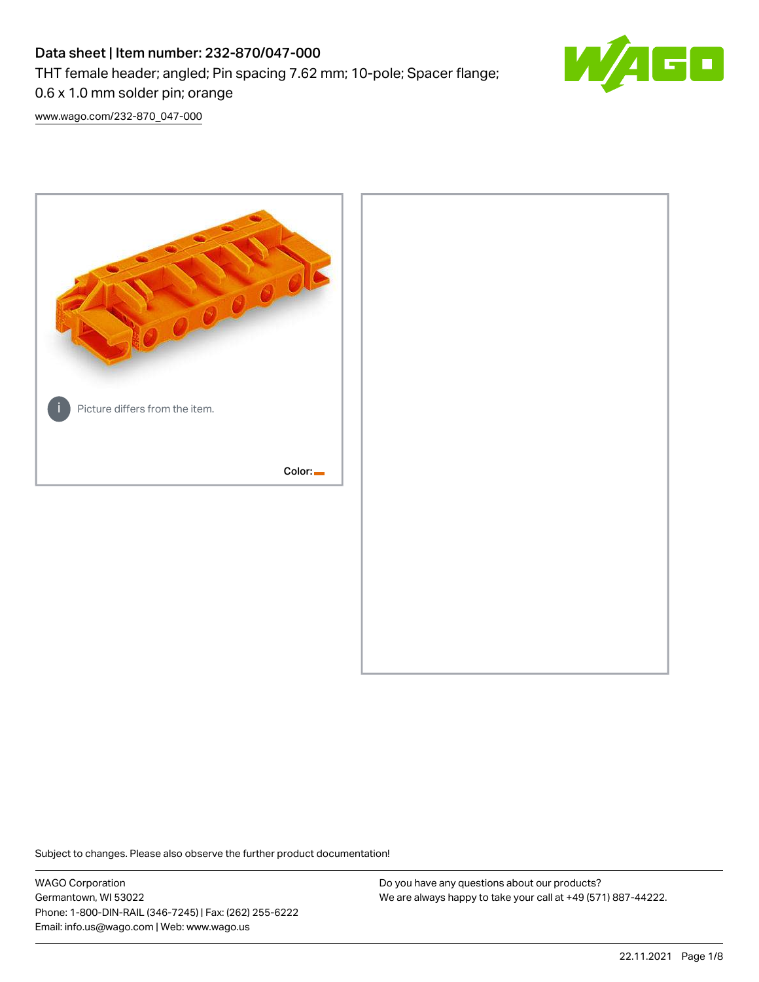# Data sheet | Item number: 232-870/047-000 THT female header; angled; Pin spacing 7.62 mm; 10-pole; Spacer flange; 0.6 x 1.0 mm solder pin; orange



[www.wago.com/232-870\\_047-000](http://www.wago.com/232-870_047-000)



Subject to changes. Please also observe the further product documentation!

WAGO Corporation Germantown, WI 53022 Phone: 1-800-DIN-RAIL (346-7245) | Fax: (262) 255-6222 Email: info.us@wago.com | Web: www.wago.us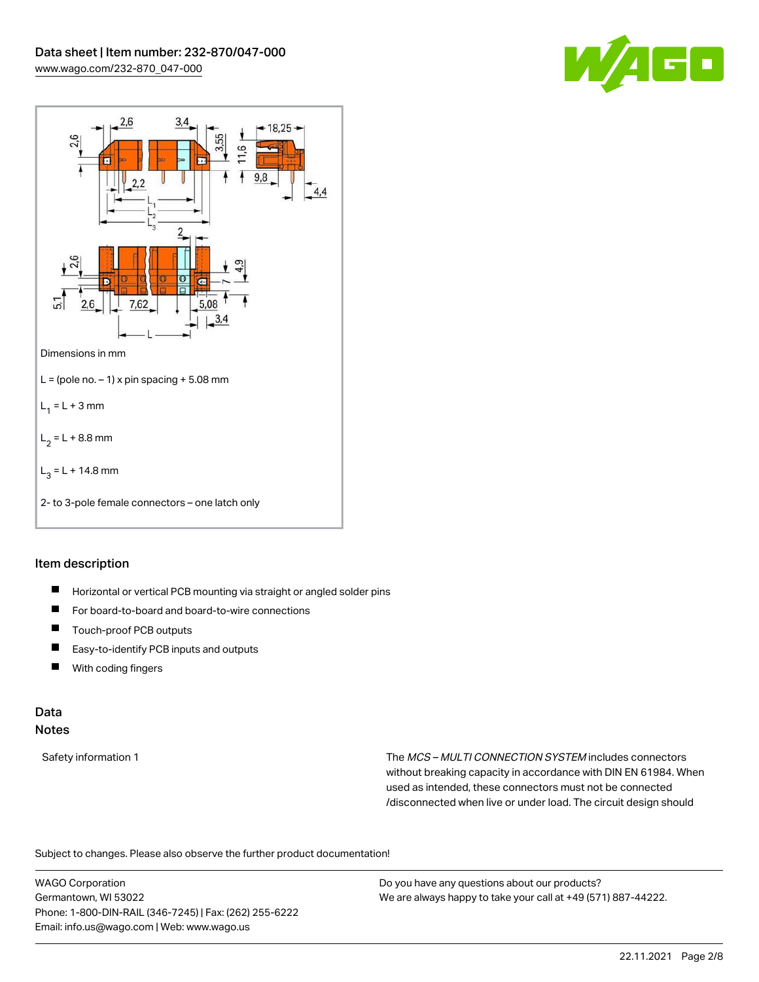



# Item description

- $\blacksquare$ Horizontal or vertical PCB mounting via straight or angled solder pins
- $\blacksquare$ For board-to-board and board-to-wire connections
- П Touch-proof PCB outputs
- $\blacksquare$ Easy-to-identify PCB inputs and outputs
- $\blacksquare$ With coding fingers

# Data

# Notes

Safety information 1 The MCS – MULTI CONNECTION SYSTEM includes connectors without breaking capacity in accordance with DIN EN 61984. When used as intended, these connectors must not be connected /disconnected when live or under load. The circuit design should

Subject to changes. Please also observe the further product documentation!  $\mathbf{e}$ 

WAGO Corporation Germantown, WI 53022 Phone: 1-800-DIN-RAIL (346-7245) | Fax: (262) 255-6222 Email: info.us@wago.com | Web: www.wago.us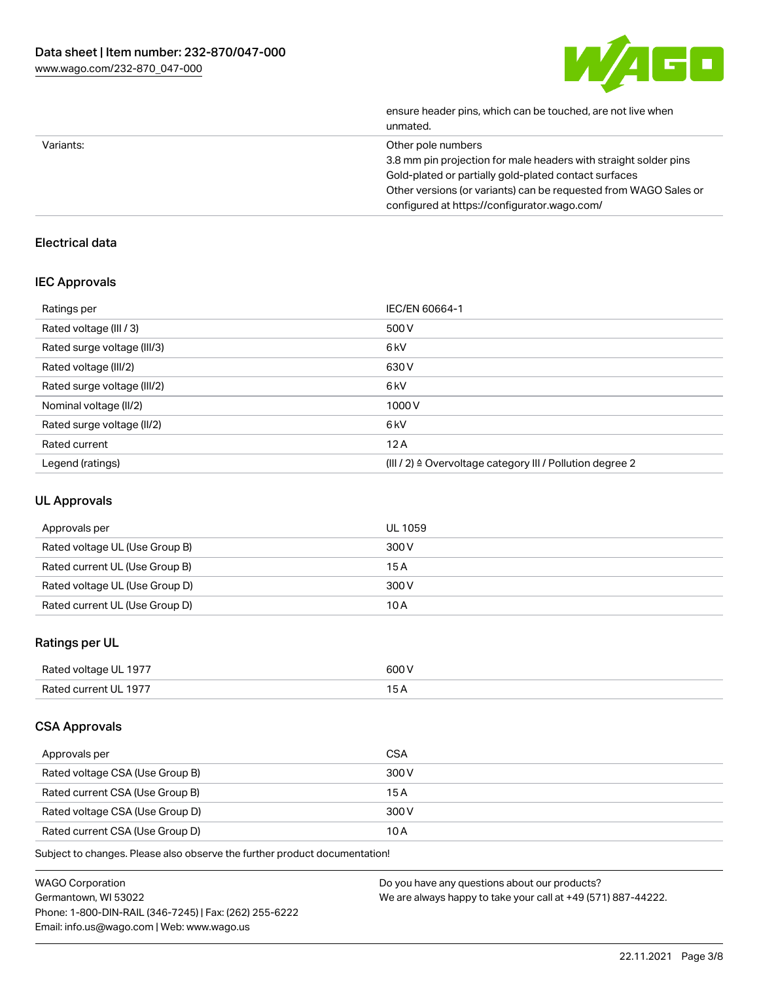

|           | ensure header pins, which can be touched, are not live when<br>unmated. |
|-----------|-------------------------------------------------------------------------|
| Variants: | Other pole numbers                                                      |
|           | 3.8 mm pin projection for male headers with straight solder pins        |
|           | Gold-plated or partially gold-plated contact surfaces                   |
|           | Other versions (or variants) can be requested from WAGO Sales or        |
|           | configured at https://configurator.wago.com/                            |
|           |                                                                         |

# Electrical data

# IEC Approvals

| Ratings per                 | IEC/EN 60664-1                                                       |
|-----------------------------|----------------------------------------------------------------------|
| Rated voltage (III / 3)     | 500 V                                                                |
| Rated surge voltage (III/3) | 6kV                                                                  |
| Rated voltage (III/2)       | 630 V                                                                |
| Rated surge voltage (III/2) | 6 <sub>kV</sub>                                                      |
| Nominal voltage (II/2)      | 1000V                                                                |
| Rated surge voltage (II/2)  | 6 <sub>k</sub> V                                                     |
| Rated current               | 12A                                                                  |
| Legend (ratings)            | (III / 2) $\triangleq$ Overvoltage category III / Pollution degree 2 |

# UL Approvals

| Approvals per                  | UL 1059 |
|--------------------------------|---------|
| Rated voltage UL (Use Group B) | 300 V   |
| Rated current UL (Use Group B) | 15A     |
| Rated voltage UL (Use Group D) | 300 V   |
| Rated current UL (Use Group D) | 10 A    |

# Ratings per UL

| Rated voltage UL 1977 | 600 V |
|-----------------------|-------|
| Rated current UL 1977 |       |

# CSA Approvals

| Approvals per                   | CSA   |
|---------------------------------|-------|
| Rated voltage CSA (Use Group B) | 300 V |
| Rated current CSA (Use Group B) | 15 A  |
| Rated voltage CSA (Use Group D) | 300 V |
| Rated current CSA (Use Group D) | 10 A  |

Subject to changes. Please also observe the further product documentation!

| WAGO Corporation                                       | Do you have any questions about our products?                 |
|--------------------------------------------------------|---------------------------------------------------------------|
| Germantown, WI 53022                                   | We are always happy to take your call at +49 (571) 887-44222. |
| Phone: 1-800-DIN-RAIL (346-7245)   Fax: (262) 255-6222 |                                                               |
| Email: info.us@wago.com   Web: www.wago.us             |                                                               |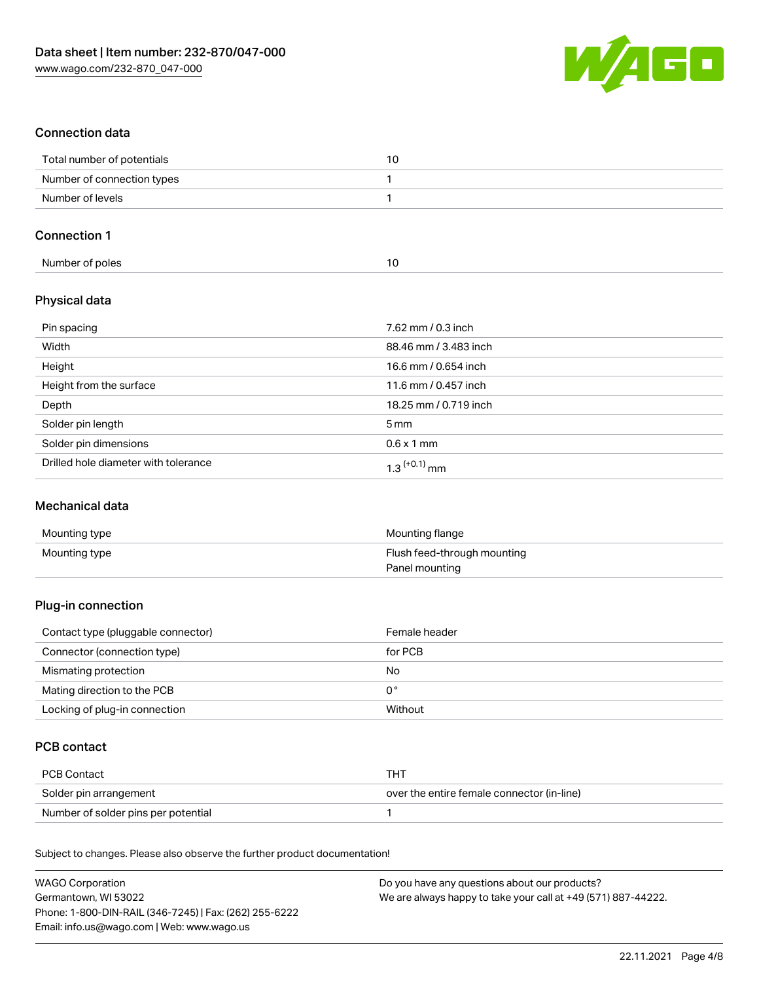

# Connection data

| Total number of potentials |  |
|----------------------------|--|
| Number of connection types |  |
| Number of levels           |  |

#### Connection 1

| Number of poles |  |
|-----------------|--|

# Physical data

| Pin spacing                          | 7.62 mm / 0.3 inch    |
|--------------------------------------|-----------------------|
| Width                                | 88.46 mm / 3.483 inch |
| Height                               | 16.6 mm / 0.654 inch  |
| Height from the surface              | 11.6 mm / 0.457 inch  |
| Depth                                | 18.25 mm / 0.719 inch |
| Solder pin length                    | 5 <sub>mm</sub>       |
| Solder pin dimensions                | $0.6 \times 1$ mm     |
| Drilled hole diameter with tolerance | $1.3$ $(+0.1)$ mm     |

### Mechanical data

| Mounting type | Mounting flange             |
|---------------|-----------------------------|
| Mounting type | Flush feed-through mounting |
|               | Panel mounting              |

# Plug-in connection

| Contact type (pluggable connector) | Female header  |
|------------------------------------|----------------|
| Connector (connection type)        | for PCB        |
| Mismating protection               | No             |
| Mating direction to the PCB        | 0 <sup>°</sup> |
| Locking of plug-in connection      | Without        |

# PCB contact

| PCB Contact                         | тнт                                        |
|-------------------------------------|--------------------------------------------|
| Solder pin arrangement              | over the entire female connector (in-line) |
| Number of solder pins per potential |                                            |

Subject to changes. Please also observe the further product documentation!

| <b>WAGO Corporation</b>                                | Do you have any questions about our products?                 |
|--------------------------------------------------------|---------------------------------------------------------------|
| Germantown, WI 53022                                   | We are always happy to take your call at +49 (571) 887-44222. |
| Phone: 1-800-DIN-RAIL (346-7245)   Fax: (262) 255-6222 |                                                               |
| Email: info.us@wago.com   Web: www.wago.us             |                                                               |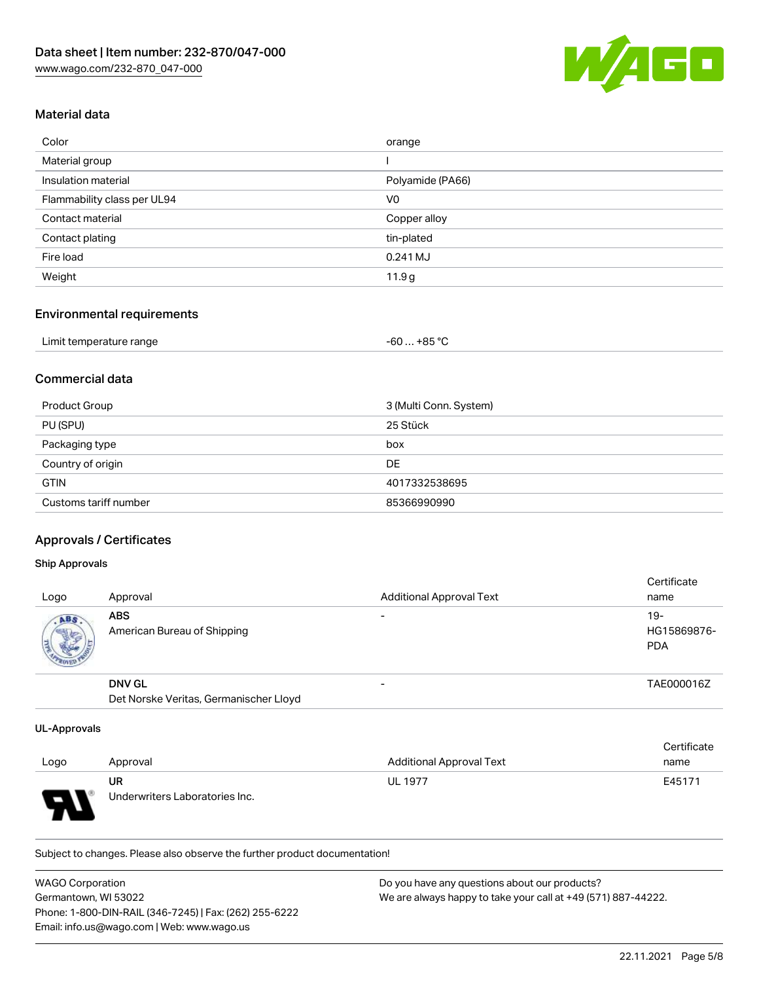

#### Material data

| Color                       | orange           |
|-----------------------------|------------------|
| Material group              |                  |
| Insulation material         | Polyamide (PA66) |
| Flammability class per UL94 | V <sub>0</sub>   |
| Contact material            | Copper alloy     |
| Contact plating             | tin-plated       |
| Fire load                   | $0.241$ MJ       |
| Weight                      | 11.9g            |

# Environmental requirements

# Commercial data

| Product Group         | 3 (Multi Conn. System) |
|-----------------------|------------------------|
| PU (SPU)              | 25 Stück               |
| Packaging type        | box                    |
| Country of origin     | DE                     |
| <b>GTIN</b>           | 4017332538695          |
| Customs tariff number | 85366990990            |

# Approvals / Certificates

#### Ship Approvals

| Logo               | Approval                                  | <b>Additional Approval Text</b> | Certificate<br>name                |
|--------------------|-------------------------------------------|---------------------------------|------------------------------------|
| ABS<br><b>SALE</b> | <b>ABS</b><br>American Bureau of Shipping | $\overline{\phantom{0}}$        | $19-$<br>HG15869876-<br><b>PDA</b> |
|                    | <b>DNV GL</b>                             | $\overline{\phantom{0}}$        | TAE000016Z                         |
|                    | Det Norske Veritas, Germanischer Lloyd    |                                 |                                    |

#### UL-Approvals

|                          |                                |                                 | Certificate |
|--------------------------|--------------------------------|---------------------------------|-------------|
| Logo                     | Approval                       | <b>Additional Approval Text</b> | name        |
|                          | UR                             | <b>UL 1977</b>                  | E45171      |
| $\overline{\phantom{0}}$ | Underwriters Laboratories Inc. |                                 |             |

Subject to changes. Please also observe the further product documentation!

| WAGO Corporation                                       | Do you have any questions about our products?                 |
|--------------------------------------------------------|---------------------------------------------------------------|
| Germantown, WI 53022                                   | We are always happy to take your call at +49 (571) 887-44222. |
| Phone: 1-800-DIN-RAIL (346-7245)   Fax: (262) 255-6222 |                                                               |
| Email: info.us@wago.com   Web: www.wago.us             |                                                               |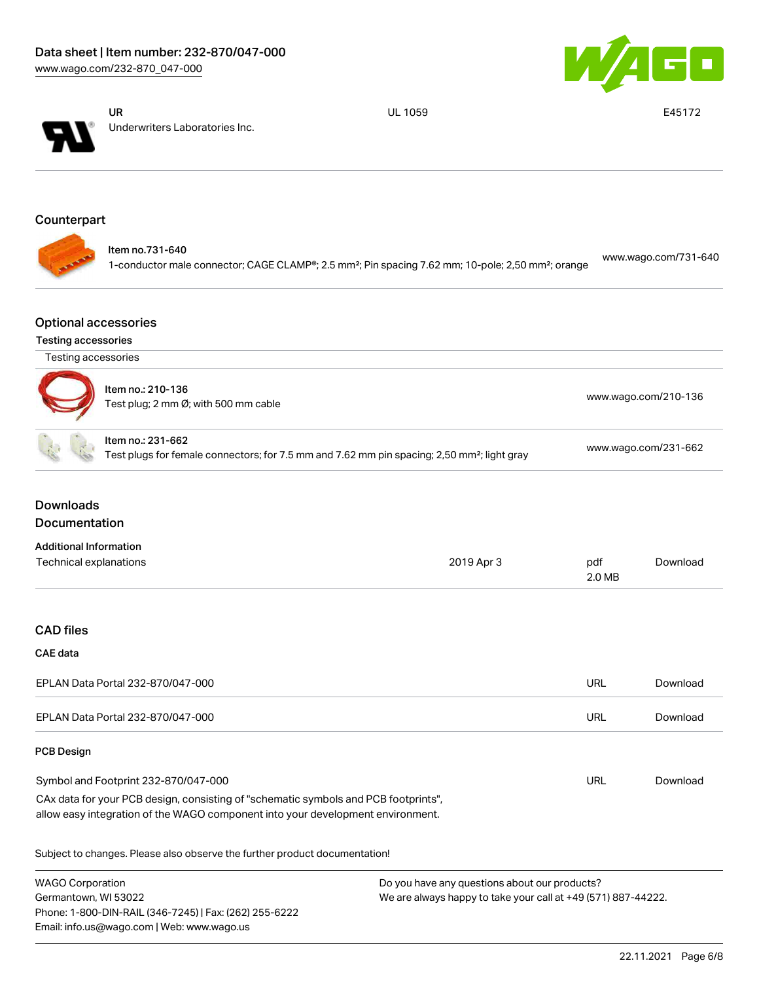



UR Underwriters Laboratories Inc.

Phone: 1-800-DIN-RAIL (346-7245) | Fax: (262) 255-6222

Email: info.us@wago.com | Web: www.wago.us

UL 1059 E45172

# Counterpart

|  | ltem no.731-640<br>1-conductor male connector; CAGE CLAMP®; 2.5 mm <sup>2</sup> ; Pin spacing 7.62 mm; 10-pole; 2,50 mm <sup>2</sup> ; orange | www.wago.com/731-640 |
|--|-----------------------------------------------------------------------------------------------------------------------------------------------|----------------------|
|--|-----------------------------------------------------------------------------------------------------------------------------------------------|----------------------|

# Optional accessories

#### Testing accessories

| Testing accessories                                       |                                                                                                                                                                        |                      |                      |          |
|-----------------------------------------------------------|------------------------------------------------------------------------------------------------------------------------------------------------------------------------|----------------------|----------------------|----------|
| Item no.: 210-136<br>Test plug; 2 mm Ø; with 500 mm cable |                                                                                                                                                                        | www.wago.com/210-136 |                      |          |
|                                                           | Item no.: 231-662<br>Test plugs for female connectors; for 7.5 mm and 7.62 mm pin spacing; 2,50 mm <sup>2</sup> ; light gray                                           |                      | www.wago.com/231-662 |          |
| <b>Downloads</b>                                          |                                                                                                                                                                        |                      |                      |          |
| Documentation                                             |                                                                                                                                                                        |                      |                      |          |
| <b>Additional Information</b><br>Technical explanations   |                                                                                                                                                                        | 2019 Apr 3           | pdf<br>2.0 MB        | Download |
| <b>CAD files</b><br><b>CAE</b> data                       |                                                                                                                                                                        |                      |                      |          |
|                                                           | EPLAN Data Portal 232-870/047-000                                                                                                                                      |                      | <b>URL</b>           | Download |
|                                                           | EPLAN Data Portal 232-870/047-000                                                                                                                                      |                      | <b>URL</b>           | Download |
| <b>PCB Design</b>                                         |                                                                                                                                                                        |                      |                      |          |
|                                                           | Symbol and Footprint 232-870/047-000                                                                                                                                   |                      | <b>URL</b>           | Download |
|                                                           | CAx data for your PCB design, consisting of "schematic symbols and PCB footprints",<br>allow easy integration of the WAGO component into your development environment. |                      |                      |          |
|                                                           | Subject to changes. Please also observe the further product documentation!                                                                                             |                      |                      |          |
|                                                           | <b>WAGO Corporation</b><br>Do you have any questions about our products?<br>We are always happy to take your call at +49 (571) 887-44222.<br>Germantown, WI 53022      |                      |                      |          |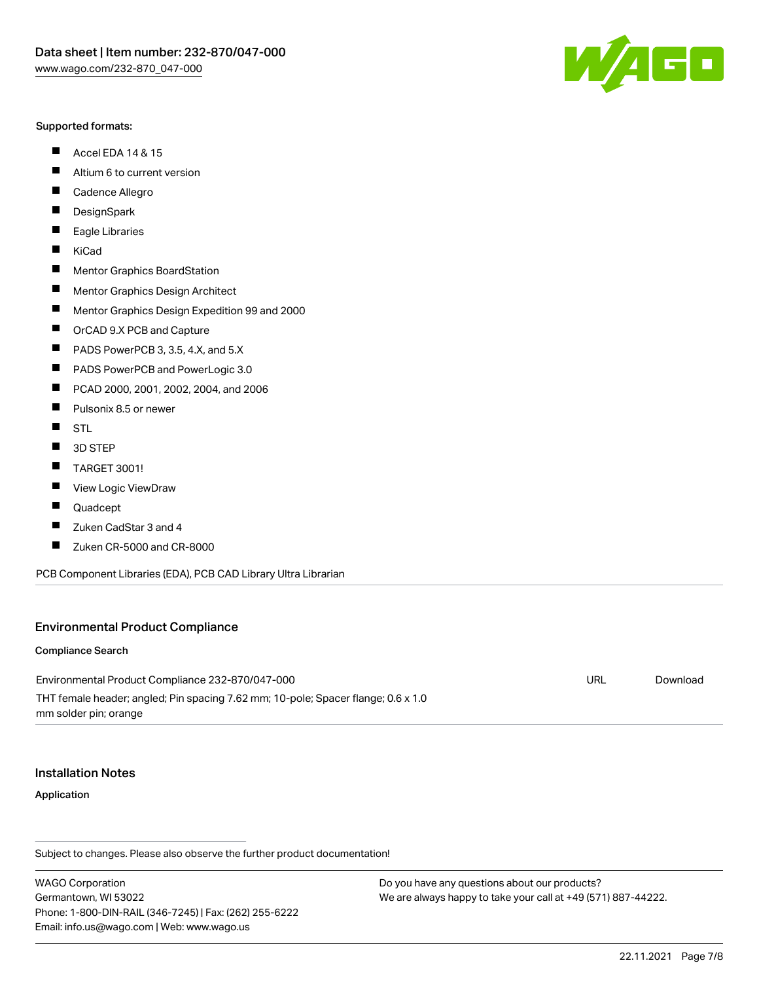#### Supported formats:

- $\blacksquare$ Accel EDA 14 & 15
- $\blacksquare$ Altium 6 to current version
- $\blacksquare$ Cadence Allegro
- $\blacksquare$ **DesignSpark**
- $\blacksquare$ Eagle Libraries
- $\blacksquare$ KiCad
- $\blacksquare$ Mentor Graphics BoardStation
- $\blacksquare$ Mentor Graphics Design Architect
- $\blacksquare$ Mentor Graphics Design Expedition 99 and 2000
- $\blacksquare$ OrCAD 9.X PCB and Capture
- $\blacksquare$ PADS PowerPCB 3, 3.5, 4.X, and 5.X
- $\blacksquare$ PADS PowerPCB and PowerLogic 3.0
- $\blacksquare$ PCAD 2000, 2001, 2002, 2004, and 2006
- $\blacksquare$ Pulsonix 8.5 or newer
- $\blacksquare$ STL
- 3D STEP П
- $\blacksquare$ TARGET 3001!
- $\blacksquare$ View Logic ViewDraw
- П Quadcept
- $\blacksquare$ Zuken CadStar 3 and 4
- Zuken CR-5000 and CR-8000 П

PCB Component Libraries (EDA), PCB CAD Library Ultra Librarian

#### Environmental Product Compliance

#### Compliance Search

Environmental Product Compliance 232-870/047-000 THT female header; angled; Pin spacing 7.62 mm; 10-pole; Spacer flange; 0.6 x 1.0 mm solder pin; orange URL [Download](https://www.wago.com/global/d/ComplianceLinkMediaContainer_232-870_047-000)

#### Installation Notes

Application

Subject to changes. Please also observe the further product documentation!

WAGO Corporation Germantown, WI 53022 Phone: 1-800-DIN-RAIL (346-7245) | Fax: (262) 255-6222 Email: info.us@wago.com | Web: www.wago.us